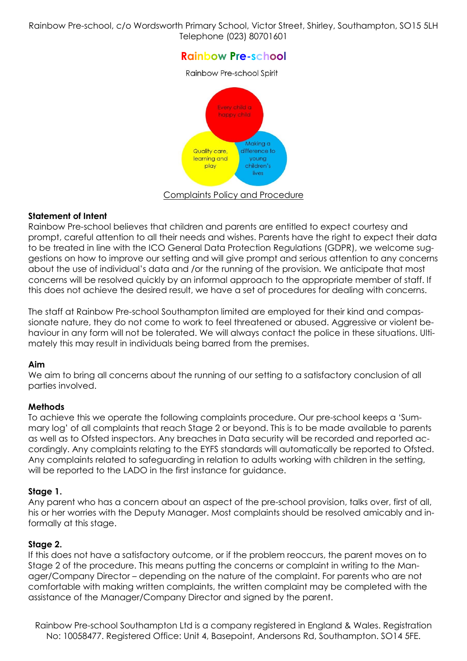Rainbow Pre-school, c/o Wordsworth Primary School, Victor Street, Shirley, Southampton, SO15 5LH Telephone (023) 80701601

# **Rainbow Pre-school**

Rainbow Pre-school Spirit



Complaints Policy and Procedure

#### **Statement of Intent**

Rainbow Pre-school believes that children and parents are entitled to expect courtesy and prompt, careful attention to all their needs and wishes. Parents have the right to expect their data to be treated in line with the ICO General Data Protection Regulations (GDPR), we welcome suggestions on how to improve our setting and will give prompt and serious attention to any concerns about the use of individual's data and /or the running of the provision. We anticipate that most concerns will be resolved quickly by an informal approach to the appropriate member of staff. If this does not achieve the desired result, we have a set of procedures for dealing with concerns.

The staff at Rainbow Pre-school Southampton limited are employed for their kind and compassionate nature, they do not come to work to feel threatened or abused. Aggressive or violent behaviour in any form will not be tolerated. We will always contact the police in these situations. Ultimately this may result in individuals being barred from the premises.

#### **Aim**

We aim to bring all concerns about the running of our setting to a satisfactory conclusion of all parties involved.

# **Methods**

To achieve this we operate the following complaints procedure. Our pre-school keeps a 'Summary log' of all complaints that reach Stage 2 or beyond. This is to be made available to parents as well as to Ofsted inspectors. Any breaches in Data security will be recorded and reported accordingly. Any complaints relating to the EYFS standards will automatically be reported to Ofsted. Any complaints related to safeguarding in relation to adults working with children in the setting, will be reported to the LADO in the first instance for guidance.

# **Stage 1.**

Any parent who has a concern about an aspect of the pre-school provision, talks over, first of all, his or her worries with the Deputy Manager. Most complaints should be resolved amicably and informally at this stage.

# **Stage 2.**

If this does not have a satisfactory outcome, or if the problem reoccurs, the parent moves on to Stage 2 of the procedure. This means putting the concerns or complaint in writing to the Manager/Company Director – depending on the nature of the complaint. For parents who are not comfortable with making written complaints, the written complaint may be completed with the assistance of the Manager/Company Director and signed by the parent.

Rainbow Pre-school Southampton Ltd is a company registered in England & Wales. Registration No: 10058477. Registered Office: Unit 4, Basepoint, Andersons Rd, Southampton. SO14 5FE.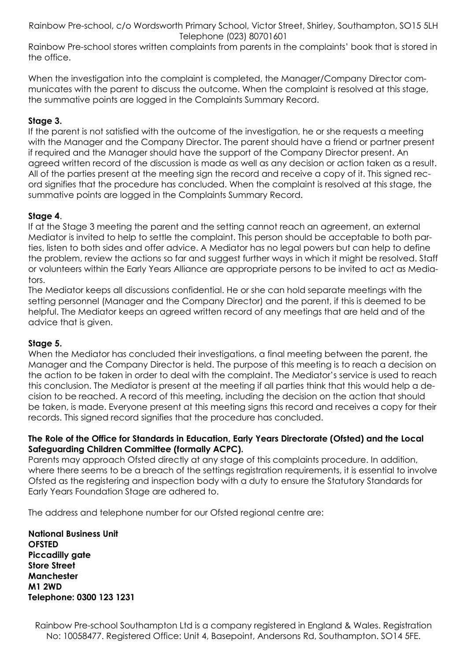Rainbow Pre-school, c/o Wordsworth Primary School, Victor Street, Shirley, Southampton, SO15 5LH Telephone (023) 80701601

Rainbow Pre-school stores written complaints from parents in the complaints' book that is stored in the office.

When the investigation into the complaint is completed, the Manager/Company Director communicates with the parent to discuss the outcome. When the complaint is resolved at this stage, the summative points are logged in the Complaints Summary Record.

# **Stage 3.**

If the parent is not satisfied with the outcome of the investigation, he or she requests a meeting with the Manager and the Company Director. The parent should have a friend or partner present if required and the Manager should have the support of the Company Director present. An agreed written record of the discussion is made as well as any decision or action taken as a result. All of the parties present at the meeting sign the record and receive a copy of it. This signed record signifies that the procedure has concluded. When the complaint is resolved at this stage, the summative points are logged in the Complaints Summary Record.

# **Stage 4**.

If at the Stage 3 meeting the parent and the setting cannot reach an agreement, an external Mediator is invited to help to settle the complaint. This person should be acceptable to both parties, listen to both sides and offer advice. A Mediator has no legal powers but can help to define the problem, review the actions so far and suggest further ways in which it might be resolved. Staff or volunteers within the Early Years Alliance are appropriate persons to be invited to act as Mediators.

The Mediator keeps all discussions confidential. He or she can hold separate meetings with the setting personnel (Manager and the Company Director) and the parent, if this is deemed to be helpful. The Mediator keeps an agreed written record of any meetings that are held and of the advice that is given.

#### **Stage 5.**

When the Mediator has concluded their investigations, a final meeting between the parent, the Manager and the Company Director is held. The purpose of this meeting is to reach a decision on the action to be taken in order to deal with the complaint. The Mediator's service is used to reach this conclusion. The Mediator is present at the meeting if all parties think that this would help a decision to be reached. A record of this meeting, including the decision on the action that should be taken, is made. Everyone present at this meeting signs this record and receives a copy for their records. This signed record signifies that the procedure has concluded.

# **The Role of the Office for Standards in Education, Early Years Directorate (Ofsted) and the Local Safeguarding Children Committee (formally ACPC).**

Parents may approach Ofsted directly at any stage of this complaints procedure. In addition, where there seems to be a breach of the settings registration requirements, it is essential to involve Ofsted as the registering and inspection body with a duty to ensure the Statutory Standards for Early Years Foundation Stage are adhered to.

The address and telephone number for our Ofsted regional centre are:

**National Business Unit OFSTED Piccadilly gate Store Street Manchester M1 2WD Telephone: 0300 123 1231**